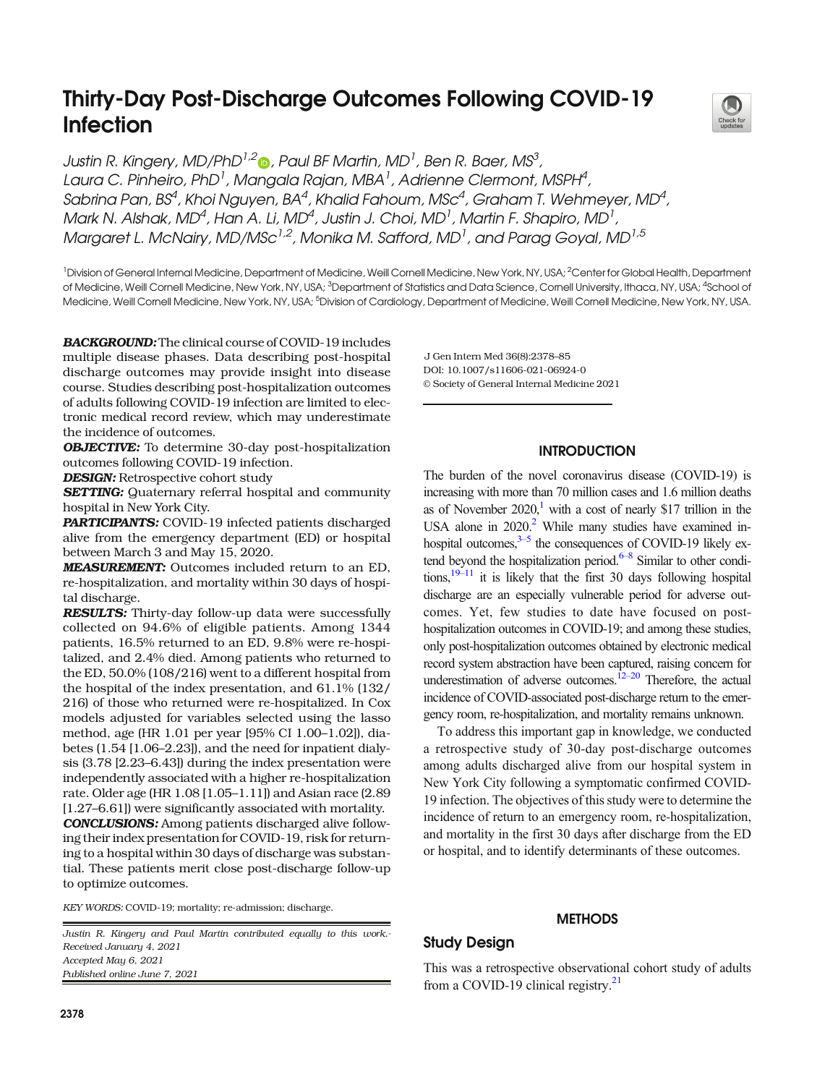# Thirty-Day Post-Discharge Outcomes Following COVID-19 Infection



Justin R. Kingery, MD/PhD $^{1,2}$ n, Paul BF Martin, MD $^{1}$ , Ben R. Baer, MS $^{3}$ , Laura C. Pinheiro, PhD<sup>1</sup>, Mangala Rajan, MBA<sup>1</sup>, Adrienne Clermont, MSPH<sup>4</sup>, Sabrina Pan, BS $^4$ , Khoi Nguyen, BA $^4$ , Khalid Fahoum, MSc $^4$ , Graham T. Wehmeyer, MD $^4$ , Mark N. Alshak, MD<sup>4</sup>, Han A. Li, MD<sup>4</sup>, Justin J. Choi, MD<sup>1</sup>, Martin F. Shapiro, MD<sup>1</sup>, Margaret L. McNairy, MD/MSc<sup>1,2</sup>, Monika M. Safford, MD<sup>1</sup>, and Parag Goyal, MD<sup>1,5</sup>

<sup>1</sup> Division of General Internal Medicine, Department of Medicine, Weill Cornell Medicine, New York, NY, USA; <sup>2</sup> Center for Global Health, Department of Medicine, Weill Cornell Medicine, New York, NY, USA; <sup>3</sup>Department of Statistics and Data Science, Comell University, Ithaca, NY, USA; <sup>4</sup>School of Medicine, Weill Cornell Medicine, New York, NY, USA; <sup>5</sup>Division of Cardiology, Department of Medicine, Weill Cornell Medicine, New York, NY, USA.

BACKGROUND: The clinical course of COVID-19 includes multiple disease phases. Data describing post-hospital discharge outcomes may provide insight into disease course. Studies describing post-hospitalization outcomes of adults following COVID-19 infection are limited to electronic medical record review, which may underestimate the incidence of outcomes.

OBJECTIVE: To determine 30-day post-hospitalization outcomes following COVID-19 infection.

DESIGN: Retrospective cohort study

**SETTING:** Quaternary referral hospital and community hospital in New York City.

PARTICIPANTS: COVID-19 infected patients discharged alive from the emergency department (ED) or hospital between March 3 and May 15, 2020.

MEASUREMENT: Outcomes included return to an ED, re-hospitalization, and mortality within 30 days of hospital discharge.

RESULTS: Thirty-day follow-up data were successfully collected on 94.6% of eligible patients. Among 1344 patients, 16.5% returned to an ED, 9.8% were re-hospitalized, and 2.4% died. Among patients who returned to the ED, 50.0% (108/216) went to a different hospital from the hospital of the index presentation, and 61.1% (132/ 216) of those who returned were re-hospitalized. In Cox models adjusted for variables selected using the lasso method, age (HR 1.01 per year [95% CI 1.00–1.02]), diabetes (1.54 [1.06–2.23]), and the need for inpatient dialysis (3.78 [2.23–6.43]) during the index presentation were independently associated with a higher re-hospitalization rate. Older age (HR 1.08 [1.05–1.11]) and Asian race (2.89 [1.27–6.61]) were significantly associated with mortality.

CONCLUSIONS: Among patients discharged alive following their index presentation for COVID-19, risk for returning to a hospital within 30 days of discharge was substantial. These patients merit close post-discharge follow-up to optimize outcomes.

KEY WORDS: COVID-19; mortality; re-admission; discharge.

Justin R. Kingery and Paul Martin contributed equally to this work.- Received January 4, 2021 Accepted May 6, 2021 Published online June 7, 2021

DOI: 10.1007/s11606-021-06924-0 © Society of General Internal Medicine 2021 J Gen Intern Med 36(8):2378–85

# **INTRODUCTION**

The burden of the novel coronavirus disease (COVID-19) is increasing with more than 70 million cases and 1.6 million deaths as of November  $2020$ ,<sup>1</sup> with a cost of nearly \$17 trillion in the USA alone in  $2020$ <sup>2</sup> While many studies have examined inhospital outcomes, $3-5$  $3-5$  the consequences of COVID-19 likely extend beyond the hospitalization period. $6-8$  $6-8$  Similar to other conditions, $19-11$  $19-11$  it is likely that the first 30 days following hospital discharge are an especially vulnerable period for adverse outcomes. Yet, few studies to date have focused on posthospitalization outcomes in COVID-19; and among these studies, only post-hospitalization outcomes obtained by electronic medical record system abstraction have been captured, raising concern for underestimation of adverse outcomes.<sup>12–[20](#page-6-0)</sup> Therefore, the actual incidence of COVID-associated post-discharge return to the emergency room, re-hospitalization, and mortality remains unknown.

To address this important gap in knowledge, we conducted a retrospective study of 30-day post-discharge outcomes among adults discharged alive from our hospital system in New York City following a symptomatic confirmed COVID-19 infection. The objectives of this study were to determine the incidence of return to an emergency room, re-hospitalization, and mortality in the first 30 days after discharge from the ED or hospital, and to identify determinants of these outcomes.

## **METHODS**

# Study Design

This was a retrospective observational cohort study of adults from a COVID-19 clinical registry. $21$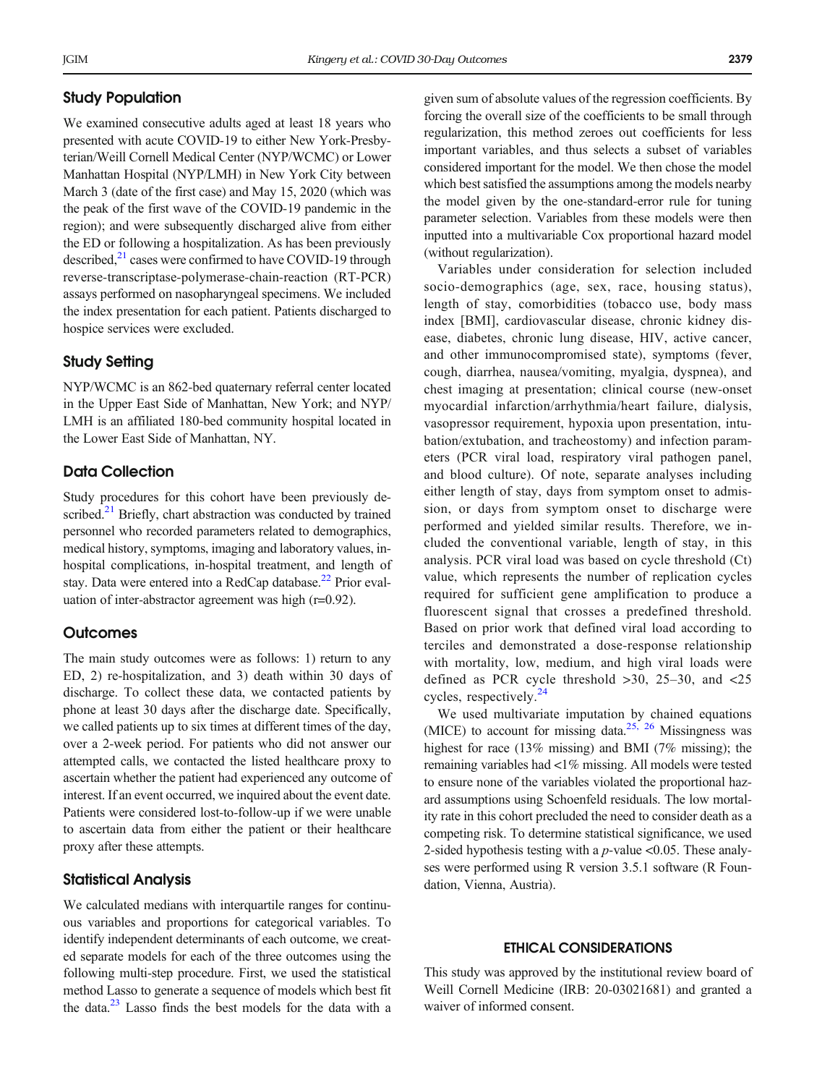# Study Population

We examined consecutive adults aged at least 18 years who presented with acute COVID-19 to either New York-Presbyterian/Weill Cornell Medical Center (NYP/WCMC) or Lower Manhattan Hospital (NYP/LMH) in New York City between March 3 (date of the first case) and May 15, 2020 (which was the peak of the first wave of the COVID-19 pandemic in the region); and were subsequently discharged alive from either the ED or following a hospitalization. As has been previously described, $^{21}$  cases were confirmed to have COVID-19 through reverse-transcriptase-polymerase-chain-reaction (RT-PCR) assays performed on nasopharyngeal specimens. We included the index presentation for each patient. Patients discharged to hospice services were excluded.

## Study Setting

NYP/WCMC is an 862-bed quaternary referral center located in the Upper East Side of Manhattan, New York; and NYP/ LMH is an affiliated 180-bed community hospital located in the Lower East Side of Manhattan, NY.

# Data Collection

Study procedures for this cohort have been previously described. $^{21}$  Briefly, chart abstraction was conducted by trained personnel who recorded parameters related to demographics, medical history, symptoms, imaging and laboratory values, inhospital complications, in-hospital treatment, and length of stay. Data were entered into a RedCap database. $^{22}$  Prior evaluation of inter-abstractor agreement was high (r=0.92).

#### **Outcomes**

The main study outcomes were as follows: 1) return to any ED, 2) re-hospitalization, and 3) death within 30 days of discharge. To collect these data, we contacted patients by phone at least 30 days after the discharge date. Specifically, we called patients up to six times at different times of the day, over a 2-week period. For patients who did not answer our attempted calls, we contacted the listed healthcare proxy to ascertain whether the patient had experienced any outcome of interest. If an event occurred, we inquired about the event date. Patients were considered lost-to-follow-up if we were unable to ascertain data from either the patient or their healthcare proxy after these attempts.

# Statistical Analysis

We calculated medians with interquartile ranges for continuous variables and proportions for categorical variables. To identify independent determinants of each outcome, we created separate models for each of the three outcomes using the following multi-step procedure. First, we used the statistical method Lasso to generate a sequence of models which best fit the data.<sup>23</sup> Lasso finds the best models for the data with a

given sum of absolute values of the regression coefficients. By forcing the overall size of the coefficients to be small through regularization, this method zeroes out coefficients for less important variables, and thus selects a subset of variables considered important for the model. We then chose the model which best satisfied the assumptions among the models nearby the model given by the one-standard-error rule for tuning parameter selection. Variables from these models were then inputted into a multivariable Cox proportional hazard model (without regularization).

Variables under consideration for selection included socio-demographics (age, sex, race, housing status), length of stay, comorbidities (tobacco use, body mass index [BMI], cardiovascular disease, chronic kidney disease, diabetes, chronic lung disease, HIV, active cancer, and other immunocompromised state), symptoms (fever, cough, diarrhea, nausea/vomiting, myalgia, dyspnea), and chest imaging at presentation; clinical course (new-onset myocardial infarction/arrhythmia/heart failure, dialysis, vasopressor requirement, hypoxia upon presentation, intubation/extubation, and tracheostomy) and infection parameters (PCR viral load, respiratory viral pathogen panel, and blood culture). Of note, separate analyses including either length of stay, days from symptom onset to admission, or days from symptom onset to discharge were performed and yielded similar results. Therefore, we included the conventional variable, length of stay, in this analysis. PCR viral load was based on cycle threshold (Ct) value, which represents the number of replication cycles required for sufficient gene amplification to produce a fluorescent signal that crosses a predefined threshold. Based on prior work that defined viral load according to terciles and demonstrated a dose-response relationship with mortality, low, medium, and high viral loads were defined as PCR cycle threshold >30, 25–30, and <25 cycles, respectively.<sup>[24](#page-7-0)</sup>

We used multivariate imputation by chained equations (MICE) to account for missing data.<sup>[25](#page-7-0), [26](#page-7-0)</sup> Missingness was highest for race (13% missing) and BMI (7% missing); the remaining variables had <1% missing. All models were tested to ensure none of the variables violated the proportional hazard assumptions using Schoenfeld residuals. The low mortality rate in this cohort precluded the need to consider death as a competing risk. To determine statistical significance, we used 2-sided hypothesis testing with a  $p$ -value <0.05. These analyses were performed using R version 3.5.1 software (R Foundation, Vienna, Austria).

## ETHICAL CONSIDERATIONS

This study was approved by the institutional review board of Weill Cornell Medicine (IRB: 20-03021681) and granted a waiver of informed consent.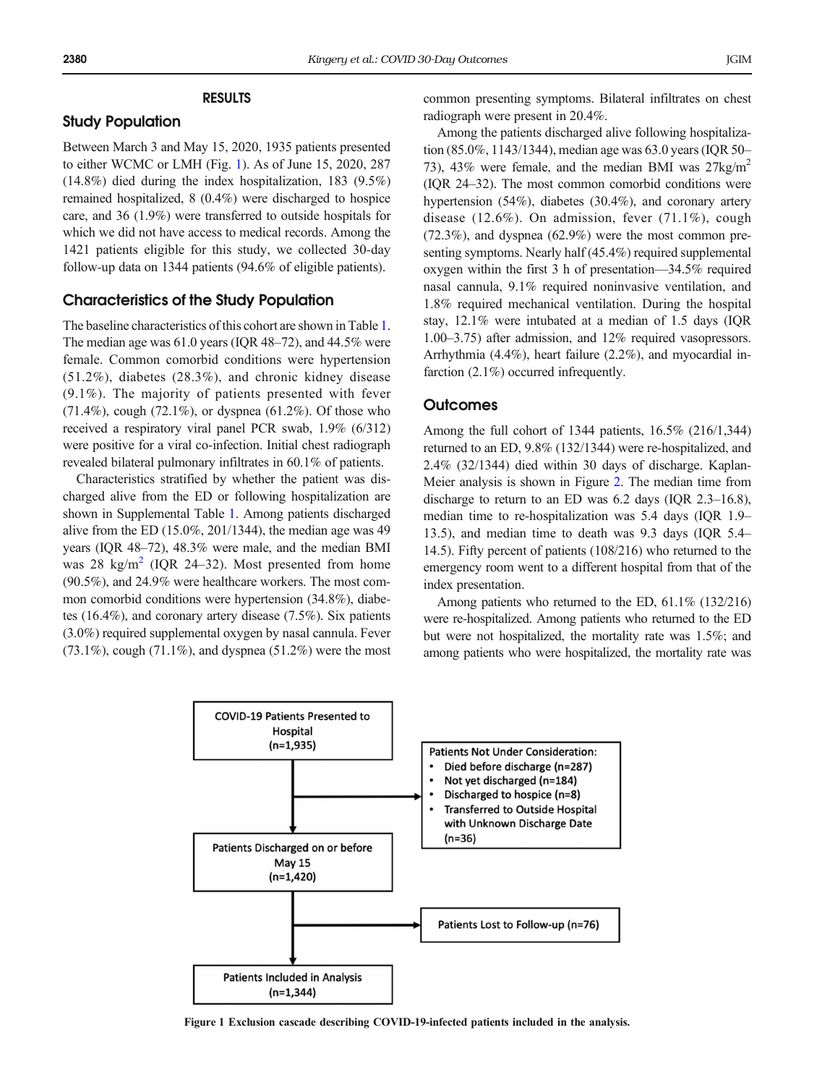## RESULTS

#### Study Population

Between March 3 and May 15, 2020, 1935 patients presented to either WCMC or LMH (Fig. 1). As of June 15, 2020, 287 (14.8%) died during the index hospitalization, 183 (9.5%) remained hospitalized, 8 (0.4%) were discharged to hospice care, and 36 (1.9%) were transferred to outside hospitals for which we did not have access to medical records. Among the 1421 patients eligible for this study, we collected 30-day follow-up data on 1344 patients (94.6% of eligible patients).

### Characteristics of the Study Population

The baseline characteristics of this cohort are shown in Table [1](#page-3-0). The median age was 61.0 years (IQR 48–72), and 44.5% were female. Common comorbid conditions were hypertension (51.2%), diabetes (28.3%), and chronic kidney disease (9.1%). The majority of patients presented with fever  $(71.4\%)$ , cough  $(72.1\%)$ , or dyspnea  $(61.2\%)$ . Of those who received a respiratory viral panel PCR swab, 1.9% (6/312) were positive for a viral co-infection. Initial chest radiograph revealed bilateral pulmonary infiltrates in 60.1% of patients.

Characteristics stratified by whether the patient was discharged alive from the ED or following hospitalization are shown in Supplemental Table 1. Among patients discharged alive from the ED (15.0%, 201/1344), the median age was 49 years (IQR 48–72), 48.3% were male, and the median BMI was [2](#page-6-0)8 kg/m<sup>2</sup> (IQR 24–32). Most presented from home (90.5%), and 24.9% were healthcare workers. The most common comorbid conditions were hypertension (34.8%), diabetes (16.4%), and coronary artery disease (7.5%). Six patients (3.0%) required supplemental oxygen by nasal cannula. Fever  $(73.1\%)$ , cough  $(71.1\%)$ , and dyspnea  $(51.2\%)$  were the most common presenting symptoms. Bilateral infiltrates on chest radiograph were present in 20.4%.

Among the patients discharged alive following hospitalization (85.0%, 1143/1344), median age was 63.0 years (IQR 50– 73), 43% were female, and the median BMI was  $27\text{kg/m}^2$ (IQR 24–32). The most common comorbid conditions were hypertension (54%), diabetes (30.4%), and coronary artery disease (12.6%). On admission, fever (71.1%), cough (72.3%), and dyspnea (62.9%) were the most common presenting symptoms. Nearly half (45.4%) required supplemental oxygen within the first 3 h of presentation—34.5% required nasal cannula, 9.1% required noninvasive ventilation, and 1.8% required mechanical ventilation. During the hospital stay, 12.1% were intubated at a median of 1.5 days (IQR 1.00–3.75) after admission, and 12% required vasopressors. Arrhythmia (4.4%), heart failure (2.2%), and myocardial infarction (2.1%) occurred infrequently.

#### **Outcomes**

Among the full cohort of 1344 patients, 16.5% (216/1,344) returned to an ED, 9.8% (132/1344) were re-hospitalized, and 2.4% (32/1344) died within 30 days of discharge. Kaplan-Meier analysis is shown in Figure [2](#page-4-0). The median time from discharge to return to an ED was 6.2 days (IQR 2.3–16.8), median time to re-hospitalization was 5.4 days (IQR 1.9– 13.5), and median time to death was 9.3 days (IQR 5.4– 14.5). Fifty percent of patients (108/216) who returned to the emergency room went to a different hospital from that of the index presentation.

Among patients who returned to the ED, 61.1% (132/216) were re-hospitalized. Among patients who returned to the ED but were not hospitalized, the mortality rate was 1.5%; and among patients who were hospitalized, the mortality rate was



Figure 1 Exclusion cascade describing COVID-19-infected patients included in the analysis.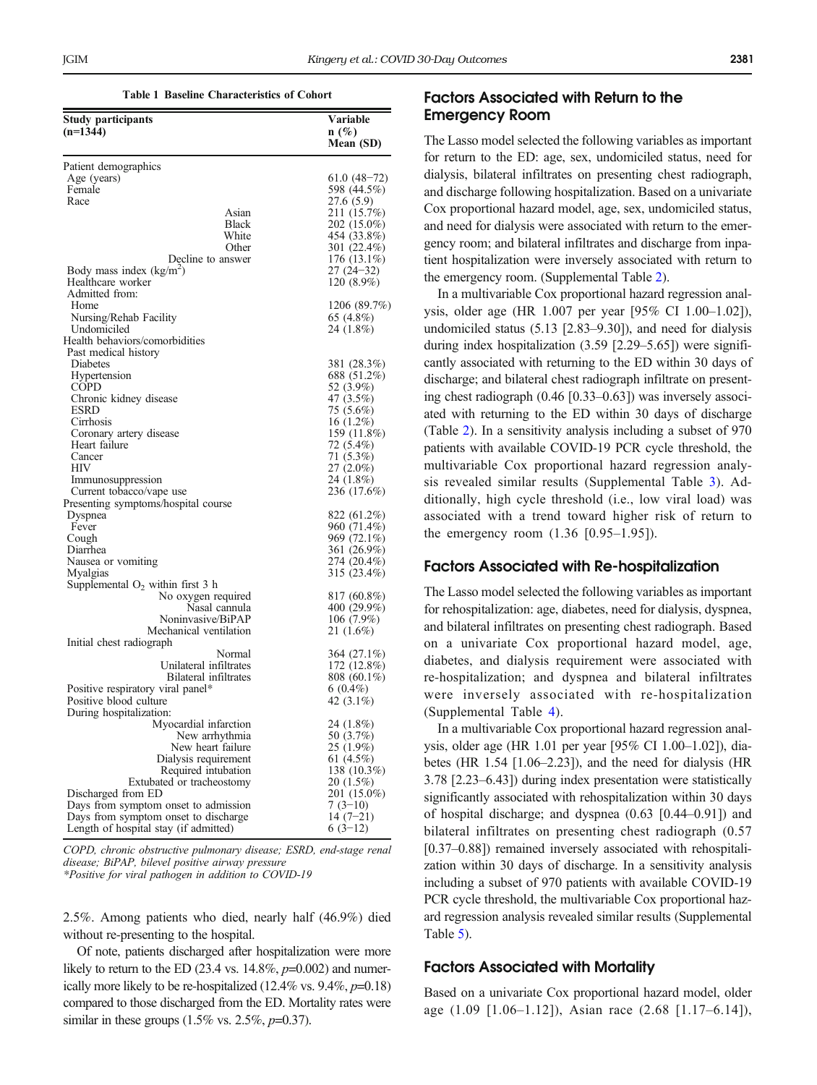Table 1 Baseline Characteristics of Cohort

<span id="page-3-0"></span>

| Study participants                               | Variable                   |
|--------------------------------------------------|----------------------------|
| $(n=1344)$                                       | $n(\%)$                    |
|                                                  | Mean (SD)                  |
| Patient demographics                             |                            |
| Age (years)                                      | 61.0 (48–72)               |
| Female                                           | 598 (44.5%)                |
| Race                                             | 27.6 (5.9)                 |
| Asian                                            | 211 (15.7%)                |
| <b>Black</b>                                     | 202 (15.0%)                |
| White                                            | 454 (33.8%)                |
| Other                                            | 301 (22.4%)                |
| Decline to answer                                | $176(13.1\%)$              |
| Body mass index $(kg/m2)$                        | $27(24-32)$                |
| Healthcare worker                                | 120 (8.9%)                 |
| Admitted from:                                   |                            |
| Home                                             | 1206 (89.7%)               |
| Nursing/Rehab Facility                           | 65 (4.8%)                  |
| Undomiciled                                      | 24 (1.8%)                  |
| Health behaviors/comorbidities                   |                            |
| Past medical history                             |                            |
| Diabetes                                         | 381 (28.3%)                |
| Hypertension                                     | 688 (51.2%)                |
| COPD                                             | 52 (3.9%)                  |
| Chronic kidney disease                           | 47 (3.5%)                  |
| <b>ESRD</b>                                      | 75 (5.6%)                  |
| Cirrhosis                                        | 16 (1.2%)                  |
| Coronary artery disease<br>Heart failure         | 159 (11.8%)<br>72 (5.4%)   |
| Cancer                                           | 71 (5.3%)                  |
| HIV                                              | 27 (2.0%)                  |
| Immunosuppression                                | 24 (1.8%)                  |
| Current tobacco/vape use                         | 236 (17.6%)                |
| Presenting symptoms/hospital course              |                            |
| Dyspnea                                          | 822 (61.2%)                |
| Fever                                            | 960 (71.4%)                |
| Cough                                            | 969 (72.1%)                |
| Diarrhea                                         | 361 (26.9%)                |
| Nausea or vomiting                               | 274 (20.4%)                |
| Myalgias                                         | 315 (23.4%)                |
| Supplemental $O_2$ within first 3 h              |                            |
| No oxygen required<br>Nasal cannula              | 817 (60.8%)<br>400 (29.9%) |
| Noninvasive/BiPAP                                | $106(7.9\%)$               |
| Mechanical ventilation                           | 21 (1.6%)                  |
| Initial chest radiograph                         |                            |
| Normal                                           | 364 (27.1%)                |
| Unilateral infiltrates                           | 172 (12.8%)                |
| Bilateral infiltrates                            | 808 (60.1%)                |
| Positive respiratory viral panel*                | $6(0.4\%)$                 |
| Positive blood culture                           | 42 (3.1%)                  |
| During hospitalization:                          |                            |
| Myocardial infarction                            | 24 (1.8%)                  |
| New arrhythmia                                   | 50 (3.7%)                  |
| New heart failure                                | 25 (1.9%)                  |
| Dialysis requirement                             | 61 (4.5%)<br>138 (10.3%)   |
| Required intubation<br>Extubated or tracheostomy | 20 (1.5%)                  |
| Discharged from ED                               | 201 (15.0%)                |
| Days from symptom onset to admission             | $7(3-10)$                  |
| Days from symptom onset to discharge             | $14(7-21)$                 |
| Length of hospital stay (if admitted)            | $6(3-12)$                  |

COPD, chronic obstructive pulmonary disease; ESRD, end-stage renal disease; BiPAP, bilevel positive airway pressure \*Positive for viral pathogen in addition to COVID-19

2.5%. Among patients who died, nearly half (46.9%) died without re-presenting to the hospital.

Of note, patients discharged after hospitalization were more likely to return to the ED  $(23.4 \text{ vs. } 14.8\%, p=0.002)$  and numerically more likely to be re-hospitalized  $(12.4\% \text{ vs. } 9.4\%, p=0.18)$ compared to those discharged from the ED. Mortality rates were similar in these groups  $(1.5\% \text{ vs. } 2.5\%, p=0.37)$ .

# Factors Associated with Return to the Emergency Room

The Lasso model selected the following variables as important for return to the ED: age, sex, undomiciled status, need for dialysis, bilateral infiltrates on presenting chest radiograph, and discharge following hospitalization. Based on a univariate Cox proportional hazard model, age, sex, undomiciled status, and need for dialysis were associated with return to the emergency room; and bilateral infiltrates and discharge from inpatient hospitalization were inversely associated with return to the emergency room. (Supplemental Table 2).

In a multivariable Cox proportional hazard regression analysis, older age (HR 1.007 per year [95% CI 1.00–1.02]), undomiciled status (5.13 [2.83–9.30]), and need for dialysis during index hospitalization (3.59 [2.29–5.65]) were significantly associated with returning to the ED within 30 days of discharge; and bilateral chest radiograph infiltrate on presenting chest radiograph (0.46 [0.33–0.63]) was inversely associated with returning to the ED within 30 days of discharge (Table [2](#page-5-0)). In a sensitivity analysis including a subset of 970 patients with available COVID-19 PCR cycle threshold, the multivariable Cox proportional hazard regression analysis revealed similar results (Supplemental Table 3). Additionally, high cycle threshold (i.e., low viral load) was associated with a trend toward higher risk of return to the emergency room (1.36 [0.95–1.95]).

#### Factors Associated with Re-hospitalization

The Lasso model selected the following variables as important for rehospitalization: age, diabetes, need for dialysis, dyspnea, and bilateral infiltrates on presenting chest radiograph. Based on a univariate Cox proportional hazard model, age, diabetes, and dialysis requirement were associated with re-hospitalization; and dyspnea and bilateral infiltrates were inversely associated with re-hospitalization (Supplemental Table 4).

In a multivariable Cox proportional hazard regression analysis, older age (HR 1.01 per year [95% CI 1.00–1.02]), diabetes (HR 1.54 [1.06–2.23]), and the need for dialysis (HR 3.78 [2.23–6.43]) during index presentation were statistically significantly associated with rehospitalization within 30 days of hospital discharge; and dyspnea (0.63 [0.44–0.91]) and bilateral infiltrates on presenting chest radiograph (0.57 [0.37–0.88]) remained inversely associated with rehospitalization within 30 days of discharge. In a sensitivity analysis including a subset of 970 patients with available COVID-19 PCR cycle threshold, the multivariable Cox proportional hazard regression analysis revealed similar results (Supplemental Table 5).

#### Factors Associated with Mortality

Based on a univariate Cox proportional hazard model, older age (1.09 [1.06–1.12]), Asian race (2.68 [1.17–6.14]),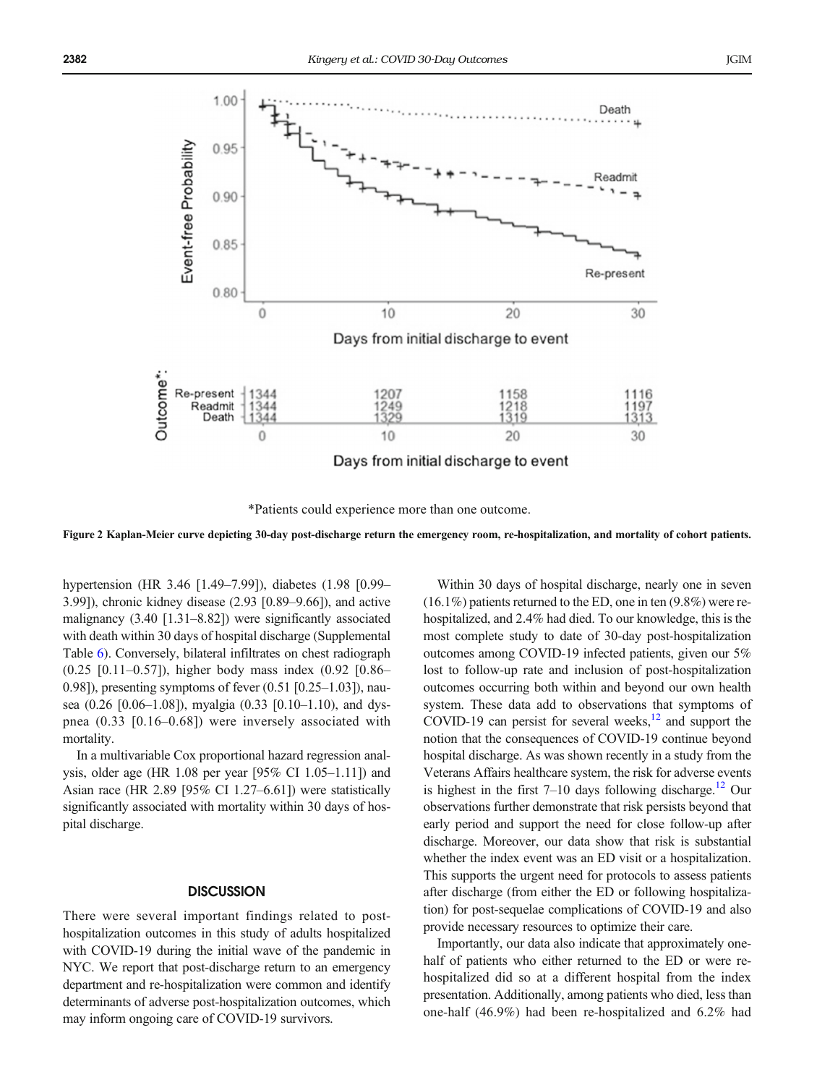<span id="page-4-0"></span>



Figure 2 Kaplan-Meier curve depicting 30-day post-discharge return the emergency room, re-hospitalization, and mortality of cohort patients.

hypertension (HR 3.46 [1.49–7.99]), diabetes (1.98 [0.99– 3.99]), chronic kidney disease (2.93 [0.89–9.66]), and active malignancy (3.40 [1.31–8.82]) were significantly associated with death within 30 days of hospital discharge (Supplemental Table 6). Conversely, bilateral infiltrates on chest radiograph (0.25 [0.11–0.57]), higher body mass index (0.92 [0.86– 0.98]), presenting symptoms of fever (0.51 [0.25–1.03]), nausea (0.26 [0.06–1.08]), myalgia (0.33 [0.10–1.10), and dyspnea (0.33 [0.16–0.68]) were inversely associated with mortality.

In a multivariable Cox proportional hazard regression analysis, older age (HR 1.08 per year [95% CI 1.05–1.11]) and Asian race (HR 2.89 [95% CI 1.27–6.61]) were statistically significantly associated with mortality within 30 days of hospital discharge.

#### **DISCUSSION**

There were several important findings related to posthospitalization outcomes in this study of adults hospitalized with COVID-19 during the initial wave of the pandemic in NYC. We report that post-discharge return to an emergency department and re-hospitalization were common and identify determinants of adverse post-hospitalization outcomes, which may inform ongoing care of COVID-19 survivors.

Within 30 days of hospital discharge, nearly one in seven  $(16.1\%)$  patients returned to the ED, one in ten  $(9.8\%)$  were rehospitalized, and 2.4% had died. To our knowledge, this is the most complete study to date of 30-day post-hospitalization outcomes among COVID-19 infected patients, given our 5% lost to follow-up rate and inclusion of post-hospitalization outcomes occurring both within and beyond our own health system. These data add to observations that symptoms of COVID-19 can persist for several weeks, $^{12}$  and support the notion that the consequences of COVID-19 continue beyond hospital discharge. As was shown recently in a study from the Veterans Affairs healthcare system, the risk for adverse events is highest in the first  $7-10$  days following discharge.<sup>[12](#page-6-0)</sup> Our observations further demonstrate that risk persists beyond that early period and support the need for close follow-up after discharge. Moreover, our data show that risk is substantial whether the index event was an ED visit or a hospitalization. This supports the urgent need for protocols to assess patients after discharge (from either the ED or following hospitalization) for post-sequelae complications of COVID-19 and also provide necessary resources to optimize their care.

Importantly, our data also indicate that approximately onehalf of patients who either returned to the ED or were rehospitalized did so at a different hospital from the index presentation. Additionally, among patients who died, less than one-half (46.9%) had been re-hospitalized and 6.2% had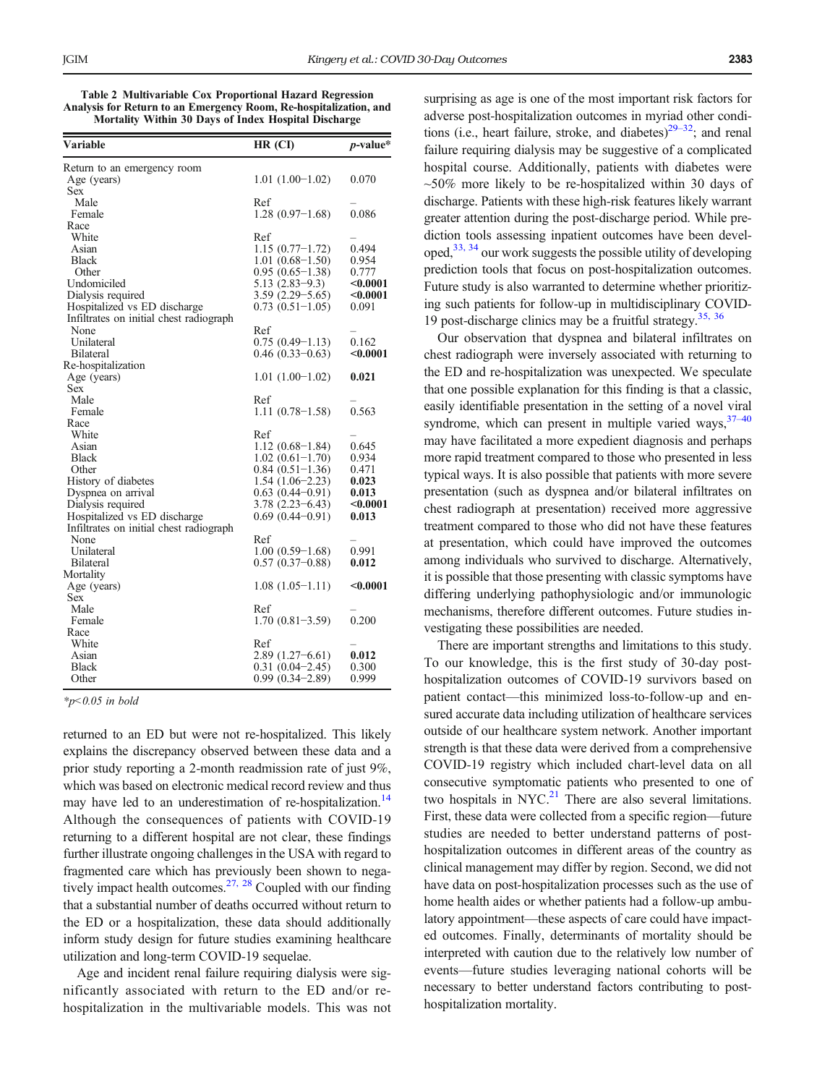<span id="page-5-0"></span>Table 2 Multivariable Cox Proportional Hazard Regression Analysis for Return to an Emergency Room, Re-hospitalization, and Mortality Within 30 Days of Index Hospital Discharge

| Variable                                        | HR (CI)             | $p$ -value*     |
|-------------------------------------------------|---------------------|-----------------|
| Return to an emergency room                     |                     |                 |
| Age (years)                                     | $1.01(1.00-1.02)$   | 0.070           |
| Sex                                             |                     |                 |
| Male                                            | Ref                 |                 |
| Female                                          | $1.28(0.97-1.68)$   | 0.086           |
| Race                                            |                     |                 |
| White                                           | Ref                 |                 |
| Asian                                           | $1.15(0.77-1.72)$   | 0.494           |
| Black                                           | $1.01(0.68 - 1.50)$ | 0.954           |
| Other                                           | $0.95(0.65-1.38)$   | 0.777           |
| Undomiciled                                     | $5.13(2.83-9.3)$    | $0.0001$        |
| Dialysis required                               | $3.59(2.29 - 5.65)$ | $<$ 0.0001 $\,$ |
| Hospitalized vs ED discharge                    | $0.73(0.51-1.05)$   | 0.091           |
| Infiltrates on initial chest radiograph         |                     |                 |
| None                                            | Ref                 |                 |
| Unilateral                                      | $0.75(0.49-1.13)$   | 0.162           |
| Bilateral                                       | $0.46(0.33-0.63)$   | $<$ 0.0001 $\,$ |
| Re-hospitalization                              |                     |                 |
| Age (years)                                     | $1.01(1.00-1.02)$   | 0.021           |
| Sex                                             |                     |                 |
| Male                                            | Ref                 |                 |
| Female                                          | $1.11(0.78-1.58)$   | 0.563           |
| Race                                            |                     |                 |
| White                                           | Ref                 |                 |
| Asian                                           | $1.12(0.68-1.84)$   | 0.645           |
| <b>Black</b>                                    | $1.02(0.61-1.70)$   | 0.934           |
| Other                                           | $0.84(0.51-1.36)$   | 0.471           |
| History of diabetes                             | $1.54(1.06-2.23)$   | 0.023           |
| Dyspnea on arrival                              | $0.63(0.44 - 0.91)$ | 0.013           |
| Dialysis required                               | $3.78(2.23 - 6.43)$ | $0.0001$        |
| Hospitalized vs ED discharge                    | $0.69(0.44 - 0.91)$ | 0.013           |
| Infiltrates on initial chest radiograph<br>None | Ref                 |                 |
| Unilateral                                      | $1.00(0.59-1.68)$   | 0.991           |
| Bilateral                                       | $0.57(0.37-0.88)$   | 0.012           |
| Mortality                                       |                     |                 |
| Age (years)                                     | $1.08(1.05-1.11)$   | $0.0001$        |
| Sex                                             |                     |                 |
| Male                                            | Ref                 |                 |
| Female                                          | $1.70(0.81-3.59)$   | 0.200           |
| Race                                            |                     |                 |
| White                                           | Ref                 |                 |
| Asian                                           | $2.89(1.27-6.61)$   | 0.012           |
| <b>Black</b>                                    | $0.31(0.04 - 2.45)$ | 0.300           |
| Other                                           | $0.99(0.34 - 2.89)$ | 0.999           |
|                                                 |                     |                 |

 $*_{p<0.05}$  in bold

returned to an ED but were not re-hospitalized. This likely explains the discrepancy observed between these data and a prior study reporting a 2-month readmission rate of just 9%, which was based on electronic medical record review and thus may have led to an underestimation of re-hospitalization.<sup>[14](#page-6-0)</sup> Although the consequences of patients with COVID-19 returning to a different hospital are not clear, these findings further illustrate ongoing challenges in the USA with regard to fragmented care which has previously been shown to negatively impact health outcomes. $27$ ,  $28$  Coupled with our finding that a substantial number of deaths occurred without return to the ED or a hospitalization, these data should additionally inform study design for future studies examining healthcare utilization and long-term COVID-19 sequelae.

Age and incident renal failure requiring dialysis were significantly associated with return to the ED and/or rehospitalization in the multivariable models. This was not

surprising as age is one of the most important risk factors for adverse post-hospitalization outcomes in myriad other conditions (i.e., heart failure, stroke, and diabetes) $29-32$  $29-32$ ; and renal failure requiring dialysis may be suggestive of a complicated hospital course. Additionally, patients with diabetes were  $~50\%$  more likely to be re-hospitalized within 30 days of discharge. Patients with these high-risk features likely warrant greater attention during the post-discharge period. While prediction tools assessing inpatient outcomes have been developed[,33, 34](#page-7-0) our work suggests the possible utility of developing prediction tools that focus on post-hospitalization outcomes. Future study is also warranted to determine whether prioritizing such patients for follow-up in multidisciplinary COVID-19 post-discharge clinics may be a fruitful strategy.<sup>35, [36](#page-7-0)</sup>

Our observation that dyspnea and bilateral infiltrates on chest radiograph were inversely associated with returning to the ED and re-hospitalization was unexpected. We speculate that one possible explanation for this finding is that a classic, easily identifiable presentation in the setting of a novel viral syndrome, which can present in multiple varied ways,  $37-40$  $37-40$ may have facilitated a more expedient diagnosis and perhaps more rapid treatment compared to those who presented in less typical ways. It is also possible that patients with more severe presentation (such as dyspnea and/or bilateral infiltrates on chest radiograph at presentation) received more aggressive treatment compared to those who did not have these features at presentation, which could have improved the outcomes among individuals who survived to discharge. Alternatively, it is possible that those presenting with classic symptoms have differing underlying pathophysiologic and/or immunologic mechanisms, therefore different outcomes. Future studies investigating these possibilities are needed.

There are important strengths and limitations to this study. To our knowledge, this is the first study of 30-day posthospitalization outcomes of COVID-19 survivors based on patient contact—this minimized loss-to-follow-up and ensured accurate data including utilization of healthcare services outside of our healthcare system network. Another important strength is that these data were derived from a comprehensive COVID-19 registry which included chart-level data on all consecutive symptomatic patients who presented to one of two hospitals in  $NYC<sup>21</sup>$  $NYC<sup>21</sup>$  $NYC<sup>21</sup>$  There are also several limitations. First, these data were collected from a specific region—future studies are needed to better understand patterns of posthospitalization outcomes in different areas of the country as clinical management may differ by region. Second, we did not have data on post-hospitalization processes such as the use of home health aides or whether patients had a follow-up ambulatory appointment—these aspects of care could have impacted outcomes. Finally, determinants of mortality should be interpreted with caution due to the relatively low number of events—future studies leveraging national cohorts will be necessary to better understand factors contributing to posthospitalization mortality.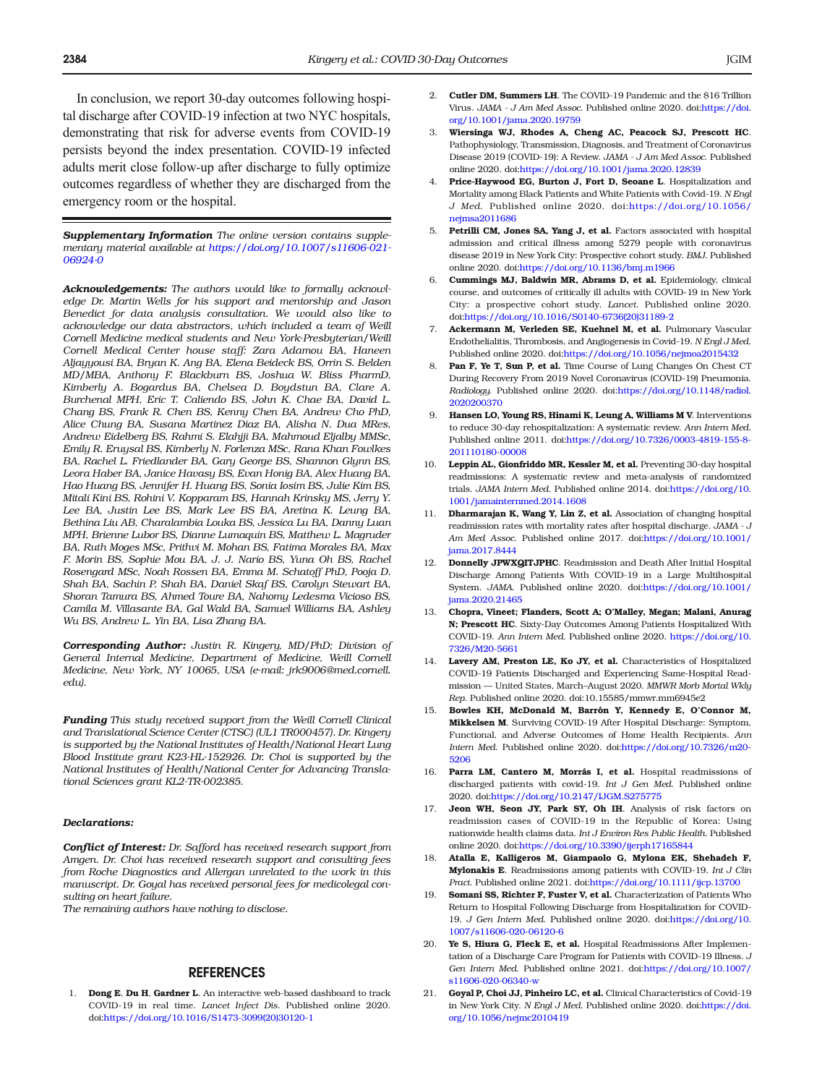<span id="page-6-0"></span>In conclusion, we report 30-day outcomes following hospital discharge after COVID-19 infection at two NYC hospitals, demonstrating that risk for adverse events from COVID-19 persists beyond the index presentation. COVID-19 infected adults merit close follow-up after discharge to fully optimize outcomes regardless of whether they are discharged from the emergency room or the hospital.

Supplementary Information The online version contains supplementary material available at [https://doi.org/10.1007/s11606-021-](http://dx.doi.org/10.1016/S1473-3099(20)30120-1) [06924-0](http://dx.doi.org/10.1016/S1473-3099(20)30120-1)

Acknowledgements: The authors would like to formally acknowledge Dr. Martin Wells for his support and mentorship and Jason Benedict for data analysis consultation. We would also like to acknowledge our data abstractors, which included a team of Weill Cornell Medicine medical students and New York-Presbyterian/Weill Cornell Medical Center house staff: Zara Adamou BA, Haneen Aljayyousi BA, Bryan K. Ang BA, Elena Beideck BS, Orrin S. Belden MD/MBA, Anthony F. Blackburn BS, Joshua W. Bliss PharmD, Kimberly A. Bogardus BA, Chelsea D. Boydstun BA, Clare A. Burchenal MPH, Eric T. Caliendo BS, John K. Chae BA, David L. Chang BS, Frank R. Chen BS, Kenny Chen BA, Andrew Cho PhD, Alice Chung BA, Susana Martinez Diaz BA, Alisha N. Dua MRes, Andrew Eidelberg BS, Rahmi S. Elahjji BA, Mahmoud Eljalby MMSc, Emily R. Eruysal BS, Kimberly N. Forlenza MSc, Rana Khan Fowlkes BA, Rachel L. Friedlander BA, Gary George BS, Shannon Glynn BS, Leora Haber BA, Janice Havasy BS, Evan Honig BA, Alex Huang BA, Hao Huang BS, Jennifer H. Huang BS, Sonia Iosim BS, Julie Kim BS, Mitali Kini BS, Rohini V. Kopparam BS, Hannah Krinsky MS, Jerry Y. Lee BA, Justin Lee BS, Mark Lee BS BA, Aretina K. Leung BA, Bethina Liu AB, Charalambia Louka BS, Jessica Lu BA, Danny Luan MPH, Brienne Lubor BS, Dianne Lumaquin BS, Matthew L. Magruder BA, Ruth Moges MSc, Prithvi M. Mohan BS, Fatima Morales BA, Max F. Morin BS, Sophie Mou BA, J. J. Nario BS, Yuna Oh BS, Rachel Rosengard MSc, Noah Rossen BA, Emma M. Schatoff PhD, Pooja D. Shah BA, Sachin P. Shah BA, Daniel Skaf BS, Carolyn Stewart BA, Shoran Tamura BS, Ahmed Toure BA, Nahomy Ledesma Vicioso BS, Camila M. Villasante BA, Gal Wald BA, Samuel Williams BA, Ashley Wu BS, Andrew L. Yin BA, Lisa Zhang BA.

Corresponding Author: Justin R. Kingery, MD/PhD; Division of General Internal Medicine, Department of Medicine, Weill Cornell Medicine, New York, NY 10065, USA (e-mail: jrk9006@med.cornell. edu).

Funding This study received support from the Weill Cornell Clinical and Translational Science Center (CTSC) (UL1 TR000457). Dr. Kingery is supported by the National Institutes of Health/National Heart Lung Blood Institute grant K23-HL-152926. Dr. Choi is supported by the National Institutes of Health/National Center for Advancing Translational Sciences grant KL2-TR-002385.

#### Declarations:

Conflict of Interest: Dr. Safford has received research support from Amgen. Dr. Choi has received research support and consulting fees from Roche Diagnostics and Allergan unrelated to the work in this manuscript. Dr. Goyal has received personal fees for medicolegal consulting on heart failure.

The remaining authors have nothing to disclose.

#### REFERENCES

1. Dong E, Du H, Gardner L. An interactive web-based dashboard to track COVID-19 in real time. Lancet Infect Dis. Published online 2020. doi:[https://doi.org/10.1016/S1473-3099\(20\)30120-1](http://dx.doi.org/10.1016/S1473-3099(20)30120-1)

- 2. Cutler DM, Summers LH. The COVID-19 Pandemic and the \$16 Trillion Virus. JAMA - J Am Med Assoc. Published online 2020. doi:[https://doi.](http://dx.doi.org/10.1001/jama.2020.19759) [org/10.1001/jama.2020.19759](http://dx.doi.org/10.1001/jama.2020.19759)
- 3. Wiersinga WJ, Rhodes A, Cheng AC, Peacock SJ, Prescott HC. Pathophysiology, Transmission, Diagnosis, and Treatment of Coronavirus Disease 2019 (COVID-19): A Review. JAMA - J Am Med Assoc. Published online 2020. doi[:https://doi.org/10.1001/jama.2020.12839](http://dx.doi.org/10.1001/jama.2020.12839)
- 4. Price-Haywood EG, Burton J, Fort D, Seoane L. Hospitalization and Mortality among Black Patients and White Patients with Covid-19. N Engl J Med. Published online 2020. doi:[https://doi.org/10.1056/](http://dx.doi.org/10.1056/nejmsa2011686) [nejmsa2011686](http://dx.doi.org/10.1056/nejmsa2011686)
- 5. Petrilli CM, Jones SA, Yang J, et al. Factors associated with hospital admission and critical illness among 5279 people with coronavirus disease 2019 in New York City: Prospective cohort study. BMJ. Published online 2020. doi[:https://doi.org/10.1136/bmj.m1966](http://dx.doi.org/10.1136/bmj.m1966)
- 6. Cummings MJ, Baldwin MR, Abrams D, et al. Epidemiology, clinical course, and outcomes of critically ill adults with COVID-19 in New York City: a prospective cohort study. Lancet. Published online 2020. doi:[https://doi.org/10.1016/S0140-6736\(20\)31189-2](http://dx.doi.org/10.1016/S0140-6736(20)31189-2)
- 7. Ackermann M, Verleden SE, Kuehnel M, et al. Pulmonary Vascular Endothelialitis, Thrombosis, and Angiogenesis in Covid-19. N Engl J Med. Published online 2020. doi[:https://doi.org/10.1056/nejmoa2015432](http://dx.doi.org/10.1056/nejmoa2015432)
- 8. **Pan F, Ye T, Sun P, et al.** Time Course of Lung Changes On Chest CT During Recovery From 2019 Novel Coronavirus (COVID-19) Pneumonia. Radiology. Published online 2020. doi[:https://doi.org/10.1148/radiol.](http://dx.doi.org/10.1148/radiol.2020200370) [2020200370](http://dx.doi.org/10.1148/radiol.2020200370)
- 9. Hansen LO, Young RS, Hinami K, Leung A, Williams M V. Interventions to reduce 30-day rehospitalization: A systematic review. Ann Intern Med. Published online 2011. doi[:https://doi.org/10.7326/0003-4819-155-8-](http://dx.doi.org/10.7326/0003-4819-155-8-201110180-00008) [201110180-00008](http://dx.doi.org/10.7326/0003-4819-155-8-201110180-00008)
- 10. Leppin AL, Gionfriddo MR, Kessler M, et al. Preventing 30-day hospital readmissions: A systematic review and meta-analysis of randomized trials. JAMA Intern Med. Published online 2014. doi:[https://doi.org/10.](http://dx.doi.org/10.1001/jamainternmed.2014.1608) [1001/jamainternmed.2014.1608](http://dx.doi.org/10.1001/jamainternmed.2014.1608)
- Dharmarajan K, Wang Y, Lin Z, et al. Association of changing hospital readmission rates with mortality rates after hospital discharge. JAMA - J Am Med Assoc. Published online 2017. doi[:https://doi.org/10.1001/](http://dx.doi.org/10.1001/jama.2017.8444) [jama.2017.8444](http://dx.doi.org/10.1001/jama.2017.8444)
- 12. Donnelly JPWXQITJPHC. Readmission and Death After Initial Hospital Discharge Among Patients With COVID-19 in a Large Multihospital System. JAMA. Published online 2020. doi[:https://doi.org/10.1001/](http://dx.doi.org/10.1001/jama.2020.21465) [jama.2020.21465](http://dx.doi.org/10.1001/jama.2020.21465)
- 13. Chopra, Vineet; Flanders, Scott A; O'Malley, Megan; Malani, Anurag N; Prescott HC. Sixty-Day Outcomes Among Patients Hospitalized With COVID-19. Ann Intern Med. Published online 2020. [https://doi.org/10.](http://dx.doi.org/10.7326/M20-5661) [7326/M20-5661](http://dx.doi.org/10.7326/M20-5661)
- 14. Lavery AM, Preston LE, Ko JY, et al. Characteristics of Hospitalized COVID-19 Patients Discharged and Experiencing Same-Hospital Readmission — United States, March–August 2020. MMWR Morb Mortal Wkly Rep. Published online 2020. doi:10.15585/mmwr.mm6945e2
- 15. Bowles KH, McDonald M, Barrón Y, Kennedy E, O'Connor M, Mikkelsen M. Surviving COVID-19 After Hospital Discharge: Symptom, Functional, and Adverse Outcomes of Home Health Recipients. Ann Intern Med. Published online 2020. doi[:https://doi.org/10.7326/m20-](http://dx.doi.org/10.7326/m20-5206) [5206](http://dx.doi.org/10.7326/m20-5206)
- 16. Parra LM, Cantero M, Morrás I, et al. Hospital readmissions of discharged patients with covid-19. Int J Gen Med. Published online 2020. doi[:https://doi.org/10.2147/IJGM.S275775](http://dx.doi.org/10.2147/IJGM.S275775)
- 17. Jeon WH, Seon JY, Park SY, Oh IH. Analysis of risk factors on readmission cases of COVID-19 in the Republic of Korea: Using nationwide health claims data. Int J Environ Res Public Health. Published online 2020. doi:[https://doi.org/10.3390/ijerph17165844](http://dx.doi.org/10.3390/ijerph17165844)
- 18. Atalla E, Kalligeros M, Giampaolo G, Mylona EK, Shehadeh F, Mylonakis E. Readmissions among patients with COVID-19. Int J Clin Pract. Published online 2021. doi[:https://doi.org/10.1111/ijcp.13700](http://dx.doi.org/10.1111/ijcp.13700)
- 19. **Somani SS, Richter F, Fuster V, et al.** Characterization of Patients Who Return to Hospital Following Discharge from Hospitalization for COVID-19. J Gen Intern Med. Published online 2020. doi:[https://doi.org/10.](http://dx.doi.org/10.1007/s11606-020-06120-6) [1007/s11606-020-06120-6](http://dx.doi.org/10.1007/s11606-020-06120-6)
- 20. Ye S, Hiura G, Fleck E, et al. Hospital Readmissions After Implementation of a Discharge Care Program for Patients with COVID-19 Illness. J Gen Intern Med. Published online 2021. doi[:https://doi.org/10.1007/](http://dx.doi.org/10.1007/s11606-020-06340-w) [s11606-020-06340-w](http://dx.doi.org/10.1007/s11606-020-06340-w)
- 21. Goyal P, Choi JJ, Pinheiro LC, et al. Clinical Characteristics of Covid-19 in New York City. N Engl J Med. Published online 2020. doi:[https://doi.](http://dx.doi.org/10.1056/nejmc2010419) [org/10.1056/nejmc2010419](http://dx.doi.org/10.1056/nejmc2010419)